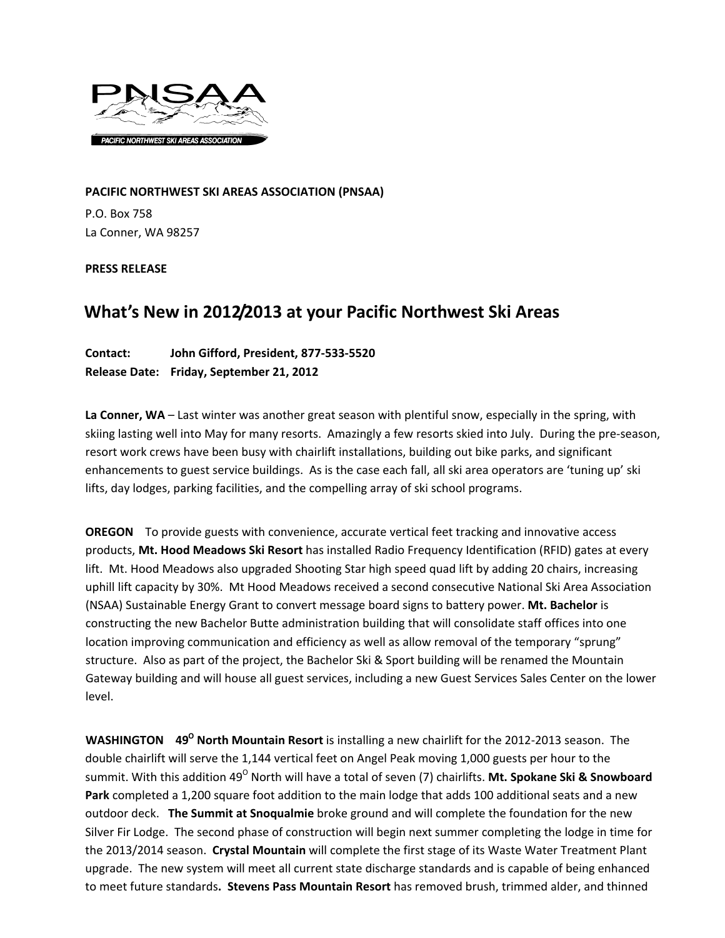

**PACIFIC NORTHWEST SKI AREAS ASSOCIATION (PNSAA)** P.O. Box 758 La Conner, WA 98257

**PRESS RELEASE**

## **What's New in 2012/2013 at your Pacific Northwest Ski Areas**

## **Contact: John Gifford, President, 877‐533‐5520 Release Date: Friday, September 21, 2012**

**La Conner, WA** – Last winter was another great season with plentiful snow, especially in the spring, with skiing lasting well into May for many resorts. Amazingly a few resorts skied into July. During the pre‐season, resort work crews have been busy with chairlift installations, building out bike parks, and significant enhancements to guest service buildings. As is the case each fall, all ski area operators are 'tuning up' ski lifts, day lodges, parking facilities, and the compelling array of ski school programs.

**OREGON** To provide guests with convenience, accurate vertical feet tracking and innovative access products, **Mt. Hood Meadows Ski Resort** has installed Radio Frequency Identification (RFID) gates at every lift. Mt. Hood Meadows also upgraded Shooting Star high speed quad lift by adding 20 chairs, increasing uphill lift capacity by 30%. Mt Hood Meadows received a second consecutive National Ski Area Association (NSAA) Sustainable Energy Grant to convert message board signs to battery power. **Mt. Bachelor** is constructing the new Bachelor Butte administration building that will consolidate staff offices into one location improving communication and efficiency as well as allow removal of the temporary "sprung" structure. Also as part of the project, the Bachelor Ski & Sport building will be renamed the Mountain Gateway building and will house all guest services, including a new Guest Services Sales Center on the lower level.

**WASHINGTON 49O North Mountain Resort** is installing a new chairlift for the 2012‐2013 season. The double chairlift will serve the 1,144 vertical feet on Angel Peak moving 1,000 guests per hour to the summit. With this addition 49<sup>°</sup> North will have a total of seven (7) chairlifts. Mt. Spokane Ski & Snowboard **Park** completed a 1,200 square foot addition to the main lodge that adds 100 additional seats and a new outdoor deck. **The Summit at Snoqualmie** broke ground and will complete the foundation for the new Silver Fir Lodge. The second phase of construction will begin next summer completing the lodge in time for the 2013/2014 season. **Crystal Mountain** will complete the first stage of its Waste Water Treatment Plant upgrade. The new system will meet all current state discharge standards and is capable of being enhanced to meet future standards**. Stevens Pass Mountain Resort** has removed brush, trimmed alder, and thinned